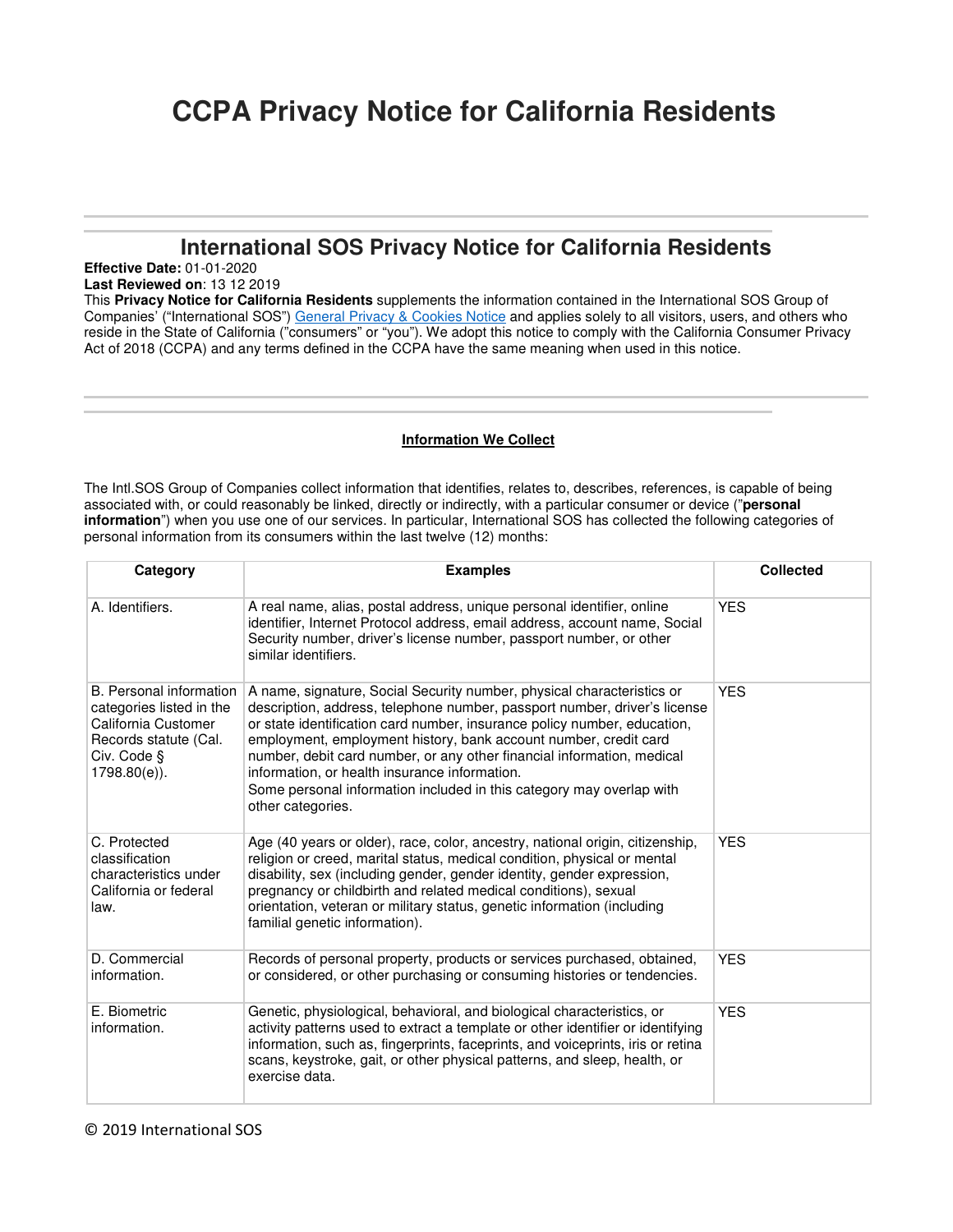# **CCPA Privacy Notice for California Residents**

# **International SOS Privacy Notice for California Residents**

l

**Effective Date:** 01-01-2020

**Last Reviewed on**: 13 12 2019

This **Privacy Notice for California Residents** supplements the information contained in the International SOS Group of Companies' ("International SOS") General Privacy & Cookies Notice and applies solely to all visitors, users, and others who reside in the State of California ("consumers" or "you"). We adopt this notice to comply with the California Consumer Privacy Act of 2018 (CCPA) and any terms defined in the CCPA have the same meaning when used in this notice.

# **Information We Collect**

The Intl.SOS Group of Companies collect information that identifies, relates to, describes, references, is capable of being associated with, or could reasonably be linked, directly or indirectly, with a particular consumer or device ("**personal information**") when you use one of our services. In particular, International SOS has collected the following categories of personal information from its consumers within the last twelve (12) months:

| Category                                                                                                                              | <b>Examples</b>                                                                                                                                                                                                                                                                                                                                                                                                                                                                                                             | <b>Collected</b> |
|---------------------------------------------------------------------------------------------------------------------------------------|-----------------------------------------------------------------------------------------------------------------------------------------------------------------------------------------------------------------------------------------------------------------------------------------------------------------------------------------------------------------------------------------------------------------------------------------------------------------------------------------------------------------------------|------------------|
| A. Identifiers.                                                                                                                       | A real name, alias, postal address, unique personal identifier, online<br>identifier, Internet Protocol address, email address, account name, Social<br>Security number, driver's license number, passport number, or other<br>similar identifiers.                                                                                                                                                                                                                                                                         | <b>YES</b>       |
| B. Personal information<br>categories listed in the<br>California Customer<br>Records statute (Cal.<br>Civ. Code §<br>$1798.80(e)$ ). | A name, signature, Social Security number, physical characteristics or<br>description, address, telephone number, passport number, driver's license<br>or state identification card number, insurance policy number, education,<br>employment, employment history, bank account number, credit card<br>number, debit card number, or any other financial information, medical<br>information, or health insurance information.<br>Some personal information included in this category may overlap with<br>other categories. | <b>YES</b>       |
| C. Protected<br>classification<br>characteristics under<br>California or federal<br>law.                                              | Age (40 years or older), race, color, ancestry, national origin, citizenship,<br>religion or creed, marital status, medical condition, physical or mental<br>disability, sex (including gender, gender identity, gender expression,<br>pregnancy or childbirth and related medical conditions), sexual<br>orientation, veteran or military status, genetic information (including<br>familial genetic information).                                                                                                         | <b>YES</b>       |
| D. Commercial<br>information.                                                                                                         | Records of personal property, products or services purchased, obtained,<br>or considered, or other purchasing or consuming histories or tendencies.                                                                                                                                                                                                                                                                                                                                                                         | <b>YES</b>       |
| E. Biometric<br>information.                                                                                                          | Genetic, physiological, behavioral, and biological characteristics, or<br>activity patterns used to extract a template or other identifier or identifying<br>information, such as, fingerprints, faceprints, and voiceprints, iris or retina<br>scans, keystroke, gait, or other physical patterns, and sleep, health, or<br>exercise data.                                                                                                                                                                                 | <b>YES</b>       |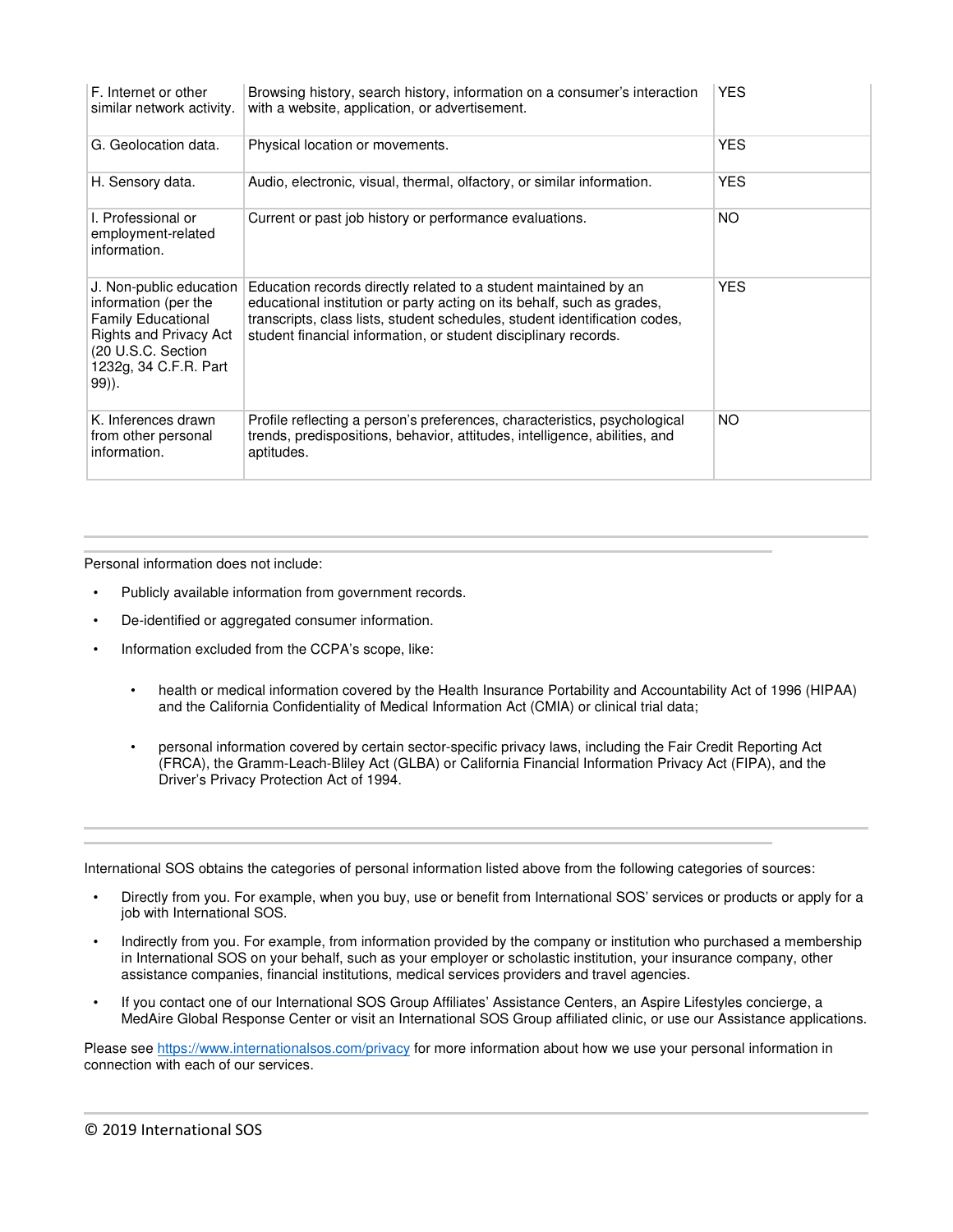| F. Internet or other<br>similar network activity.                                                                                                                     | Browsing history, search history, information on a consumer's interaction<br>with a website, application, or advertisement.                                                                                                                                                                 | <b>YES</b> |
|-----------------------------------------------------------------------------------------------------------------------------------------------------------------------|---------------------------------------------------------------------------------------------------------------------------------------------------------------------------------------------------------------------------------------------------------------------------------------------|------------|
| G. Geolocation data.                                                                                                                                                  | Physical location or movements.                                                                                                                                                                                                                                                             | <b>YES</b> |
| H. Sensory data.                                                                                                                                                      | Audio, electronic, visual, thermal, olfactory, or similar information.                                                                                                                                                                                                                      | <b>YES</b> |
| I. Professional or<br>employment-related<br>information.                                                                                                              | Current or past job history or performance evaluations.                                                                                                                                                                                                                                     | NO.        |
| J. Non-public education<br>information (per the<br><b>Family Educational</b><br><b>Rights and Privacy Act</b><br>(20 U.S.C. Section<br>1232g, 34 C.F.R. Part<br>99)). | Education records directly related to a student maintained by an<br>educational institution or party acting on its behalf, such as grades,<br>transcripts, class lists, student schedules, student identification codes,<br>student financial information, or student disciplinary records. | <b>YES</b> |
| K. Inferences drawn<br>from other personal<br>information.                                                                                                            | Profile reflecting a person's preferences, characteristics, psychological<br>trends, predispositions, behavior, attitudes, intelligence, abilities, and<br>aptitudes.                                                                                                                       | NO.        |

Personal information does not include:

- Publicly available information from government records.
- De-identified or aggregated consumer information.
- Information excluded from the CCPA's scope, like:
	- health or medical information covered by the Health Insurance Portability and Accountability Act of 1996 (HIPAA) and the California Confidentiality of Medical Information Act (CMIA) or clinical trial data;

l

• personal information covered by certain sector-specific privacy laws, including the Fair Credit Reporting Act (FRCA), the Gramm-Leach-Bliley Act (GLBA) or California Financial Information Privacy Act (FIPA), and the Driver's Privacy Protection Act of 1994.

International SOS obtains the categories of personal information listed above from the following categories of sources:

- Directly from you. For example, when you buy, use or benefit from International SOS' services or products or apply for a job with International SOS.
- Indirectly from you. For example, from information provided by the company or institution who purchased a membership in International SOS on your behalf, such as your employer or scholastic institution, your insurance company, other assistance companies, financial institutions, medical services providers and travel agencies.
- If you contact one of our International SOS Group Affiliates' Assistance Centers, an Aspire Lifestyles concierge, a MedAire Global Response Center or visit an International SOS Group affiliated clinic, or use our Assistance applications.

Please see https://www.internationalsos.com/privacy for more information about how we use your personal information in connection with each of our services.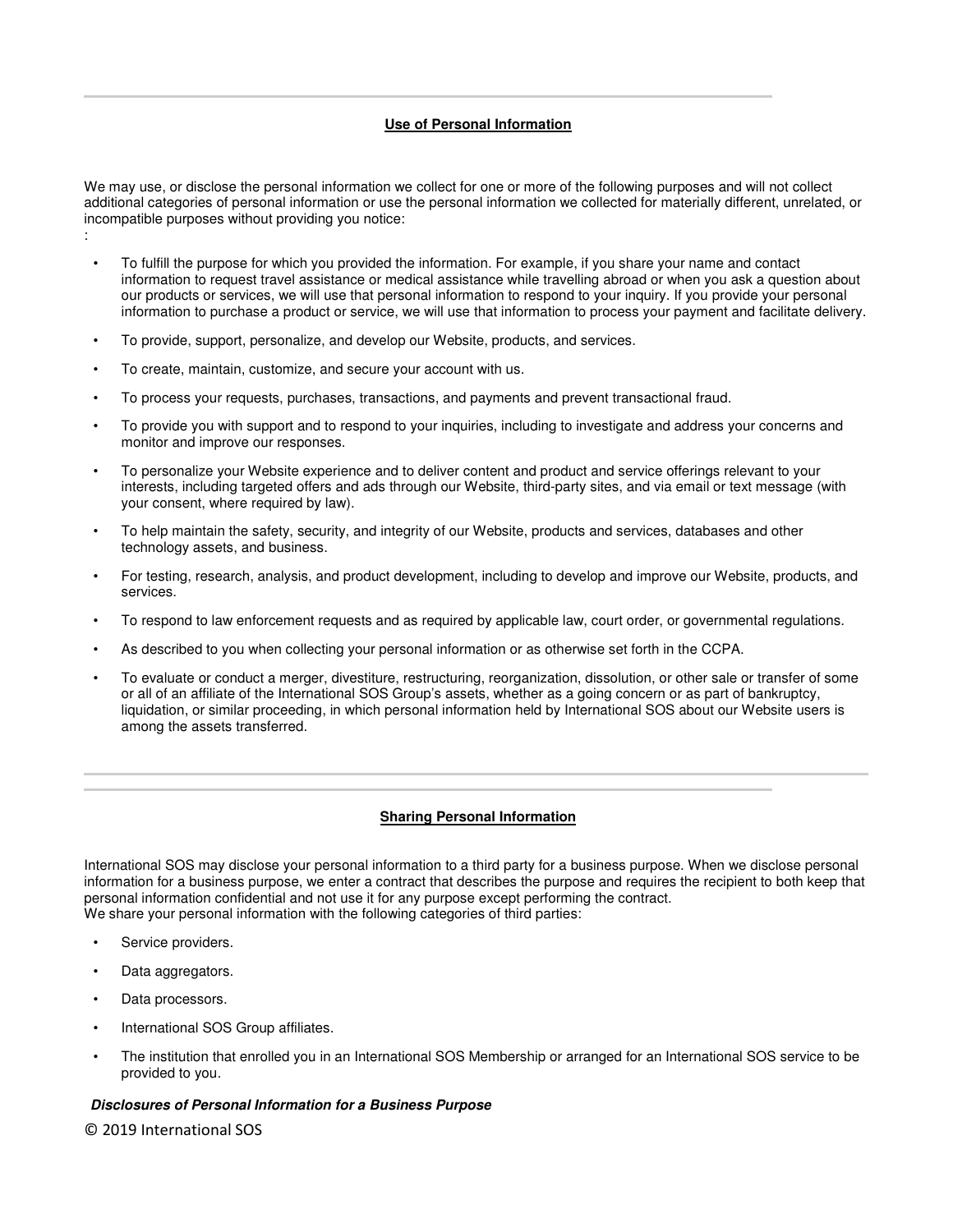# **Use of Personal Information**

We may use, or disclose the personal information we collect for one or more of the following purposes and will not collect additional categories of personal information or use the personal information we collected for materially different, unrelated, or incompatible purposes without providing you notice:

- To fulfill the purpose for which you provided the information. For example, if you share your name and contact information to request travel assistance or medical assistance while travelling abroad or when you ask a question about our products or services, we will use that personal information to respond to your inquiry. If you provide your personal information to purchase a product or service, we will use that information to process your payment and facilitate delivery.
- To provide, support, personalize, and develop our Website, products, and services.
- To create, maintain, customize, and secure your account with us.
- To process your requests, purchases, transactions, and payments and prevent transactional fraud.
- To provide you with support and to respond to your inquiries, including to investigate and address your concerns and monitor and improve our responses.
- To personalize your Website experience and to deliver content and product and service offerings relevant to your interests, including targeted offers and ads through our Website, third-party sites, and via email or text message (with your consent, where required by law).
- To help maintain the safety, security, and integrity of our Website, products and services, databases and other technology assets, and business.
- For testing, research, analysis, and product development, including to develop and improve our Website, products, and services.
- To respond to law enforcement requests and as required by applicable law, court order, or governmental regulations.
- As described to you when collecting your personal information or as otherwise set forth in the CCPA.
- To evaluate or conduct a merger, divestiture, restructuring, reorganization, dissolution, or other sale or transfer of some or all of an affiliate of the International SOS Group's assets, whether as a going concern or as part of bankruptcy, liquidation, or similar proceeding, in which personal information held by International SOS about our Website users is among the assets transferred.

### **Sharing Personal Information**

International SOS may disclose your personal information to a third party for a business purpose. When we disclose personal information for a business purpose, we enter a contract that describes the purpose and requires the recipient to both keep that personal information confidential and not use it for any purpose except performing the contract. We share your personal information with the following categories of third parties:

Service providers.

:

- Data aggregators.
- Data processors.
- International SOS Group affiliates.
- The institution that enrolled you in an International SOS Membership or arranged for an International SOS service to be provided to you.

#### **Disclosures of Personal Information for a Business Purpose**

© 2019 International SOS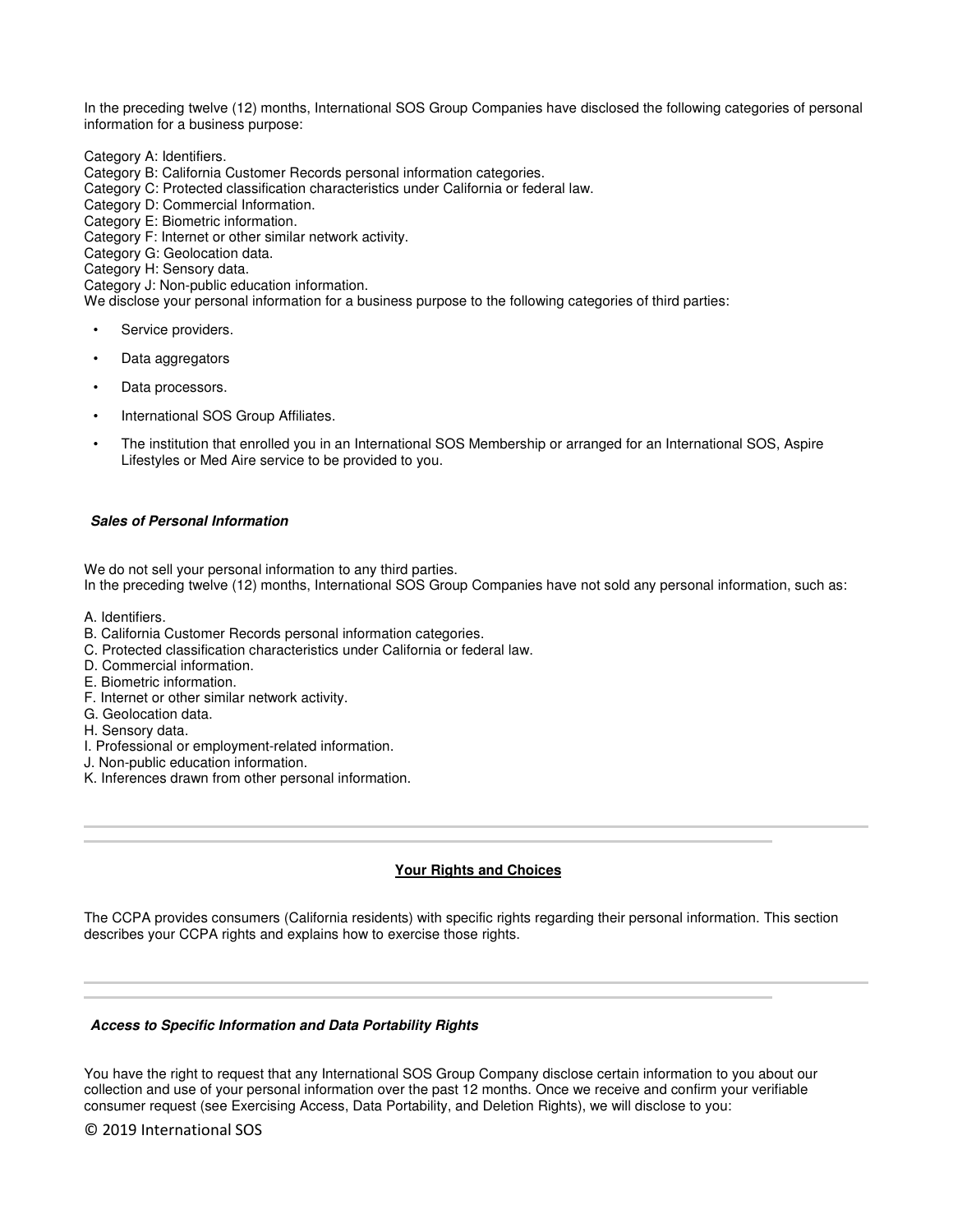In the preceding twelve (12) months, International SOS Group Companies have disclosed the following categories of personal information for a business purpose:

Category A: Identifiers.

- Category B: California Customer Records personal information categories.
- Category C: Protected classification characteristics under California or federal law.
- Category D: Commercial Information.
- Category E: Biometric information.

Category F: Internet or other similar network activity.

Category G: Geolocation data.

Category H: Sensory data.

Category J: Non-public education information.

We disclose your personal information for a business purpose to the following categories of third parties:

- Service providers.
- Data aggregators
- Data processors.
- International SOS Group Affiliates.
- The institution that enrolled you in an International SOS Membership or arranged for an International SOS, Aspire Lifestyles or Med Aire service to be provided to you.

#### **Sales of Personal Information**

We do not sell your personal information to any third parties. In the preceding twelve (12) months, International SOS Group Companies have not sold any personal information, such as:

- A. Identifiers.
- B. California Customer Records personal information categories.
- C. Protected classification characteristics under California or federal law.
- D. Commercial information.
- E. Biometric information.
- F. Internet or other similar network activity.
- G. Geolocation data.
- H. Sensory data.

- I. Professional or employment-related information.
- J. Non-public education information.
- K. Inferences drawn from other personal information.

### **Your Rights and Choices**

l

The CCPA provides consumers (California residents) with specific rights regarding their personal information. This section describes your CCPA rights and explains how to exercise those rights.

#### **Access to Specific Information and Data Portability Rights**

You have the right to request that any International SOS Group Company disclose certain information to you about our collection and use of your personal information over the past 12 months. Once we receive and confirm your verifiable consumer request (see Exercising Access, Data Portability, and Deletion Rights), we will disclose to you:

© 2019 International SOS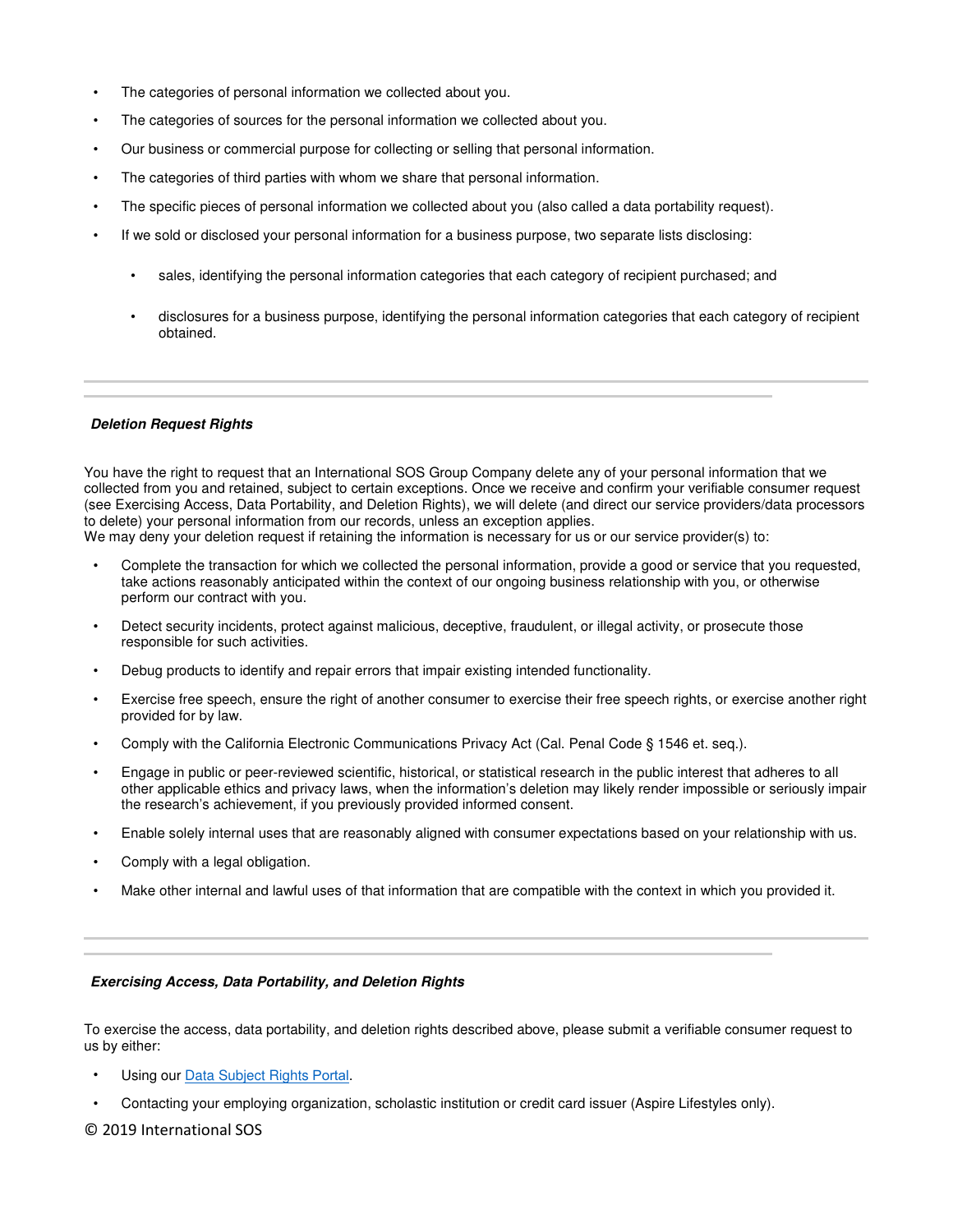- The categories of personal information we collected about you.
- The categories of sources for the personal information we collected about you.
- Our business or commercial purpose for collecting or selling that personal information.
- The categories of third parties with whom we share that personal information.
- The specific pieces of personal information we collected about you (also called a data portability request).
- If we sold or disclosed your personal information for a business purpose, two separate lists disclosing:
	- sales, identifying the personal information categories that each category of recipient purchased; and
	- disclosures for a business purpose, identifying the personal information categories that each category of recipient obtained.

#### **Deletion Request Rights**

You have the right to request that an International SOS Group Company delete any of your personal information that we collected from you and retained, subject to certain exceptions. Once we receive and confirm your verifiable consumer request (see Exercising Access, Data Portability, and Deletion Rights), we will delete (and direct our service providers/data processors to delete) your personal information from our records, unless an exception applies.

We may deny your deletion request if retaining the information is necessary for us or our service provider(s) to:

- Complete the transaction for which we collected the personal information, provide a good or service that you requested, take actions reasonably anticipated within the context of our ongoing business relationship with you, or otherwise perform our contract with you.
- Detect security incidents, protect against malicious, deceptive, fraudulent, or illegal activity, or prosecute those responsible for such activities.
- Debug products to identify and repair errors that impair existing intended functionality.
- Exercise free speech, ensure the right of another consumer to exercise their free speech rights, or exercise another right provided for by law.
- Comply with the California Electronic Communications Privacy Act (Cal. Penal Code § 1546 et. seq.).
- Engage in public or peer-reviewed scientific, historical, or statistical research in the public interest that adheres to all other applicable ethics and privacy laws, when the information's deletion may likely render impossible or seriously impair the research's achievement, if you previously provided informed consent.
- Enable solely internal uses that are reasonably aligned with consumer expectations based on your relationship with us.
- Comply with a legal obligation.
- Make other internal and lawful uses of that information that are compatible with the context in which you provided it.

#### **Exercising Access, Data Portability, and Deletion Rights**

To exercise the access, data portability, and deletion rights described above, please submit a verifiable consumer request to us by either:

- Using our [Data Subject Rights](https://privacyportal-eu.onetrust.com/webform/5a4c8689-15b4-4009-8bda-500740014006/27774396-1c9c-48d4-8055-a35cd52a1b68) Portal.
- Contacting your employing organization, scholastic institution or credit card issuer (Aspire Lifestyles only).

## © 2019 International SOS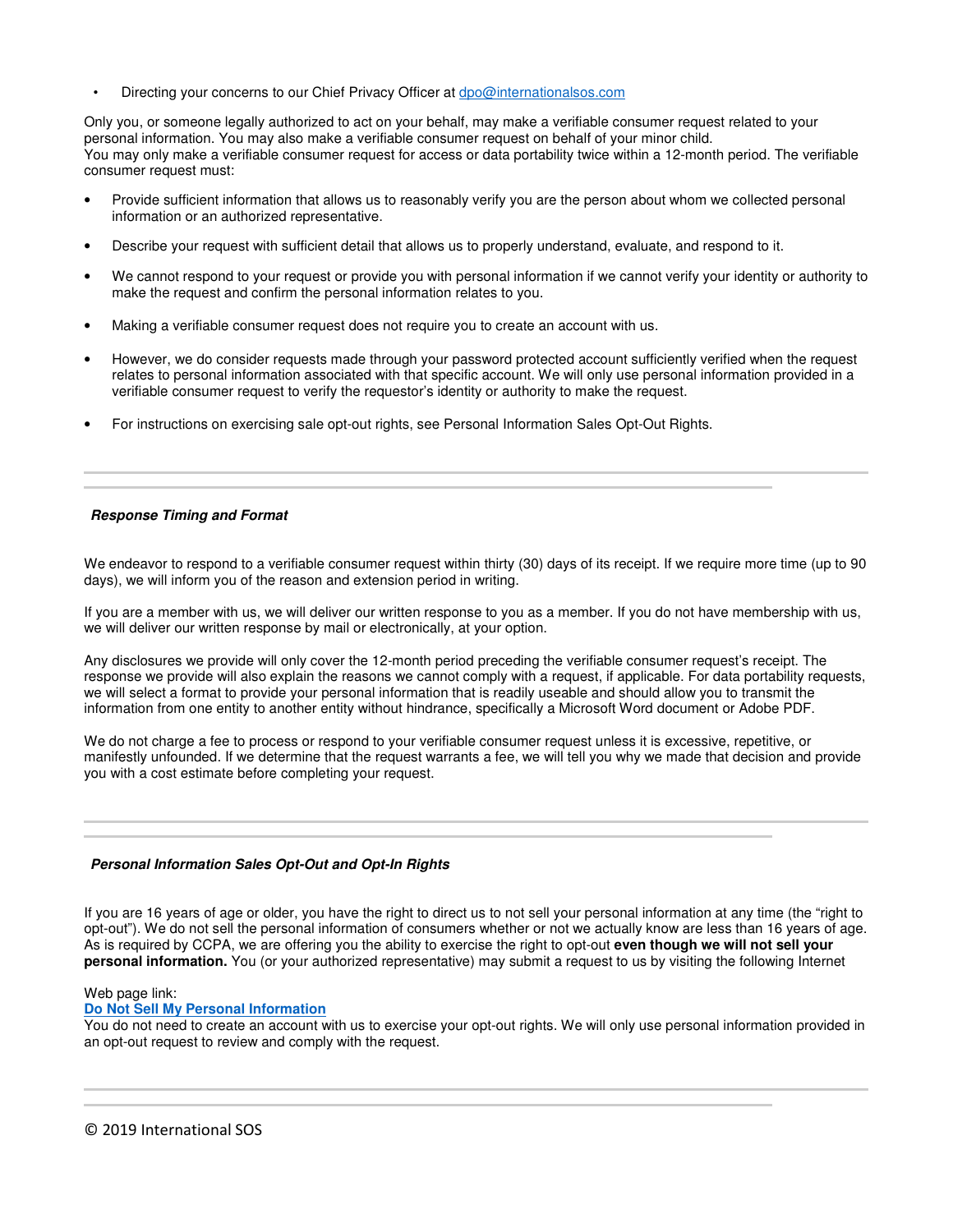• Directing your concerns to our Chief Privacy Officer at dpo@internationalsos.com

Only you, or someone legally authorized to act on your behalf, may make a verifiable consumer request related to your personal information. You may also make a verifiable consumer request on behalf of your minor child. You may only make a verifiable consumer request for access or data portability twice within a 12-month period. The verifiable consumer request must:

- Provide sufficient information that allows us to reasonably verify you are the person about whom we collected personal information or an authorized representative.
- Describe your request with sufficient detail that allows us to properly understand, evaluate, and respond to it.
- We cannot respond to your request or provide you with personal information if we cannot verify your identity or authority to make the request and confirm the personal information relates to you.
- Making a verifiable consumer request does not require you to create an account with us.
- However, we do consider requests made through your password protected account sufficiently verified when the request relates to personal information associated with that specific account. We will only use personal information provided in a verifiable consumer request to verify the requestor's identity or authority to make the request.
- For instructions on exercising sale opt-out rights, see Personal Information Sales Opt-Out Rights.

#### **Response Timing and Format**

 l

We endeavor to respond to a verifiable consumer request within thirty (30) days of its receipt. If we require more time (up to 90 days), we will inform you of the reason and extension period in writing.

If you are a member with us, we will deliver our written response to you as a member. If you do not have membership with us, we will deliver our written response by mail or electronically, at your option.

Any disclosures we provide will only cover the 12-month period preceding the verifiable consumer request's receipt. The response we provide will also explain the reasons we cannot comply with a request, if applicable. For data portability requests, we will select a format to provide your personal information that is readily useable and should allow you to transmit the information from one entity to another entity without hindrance, specifically a Microsoft Word document or Adobe PDF.

We do not charge a fee to process or respond to your verifiable consumer request unless it is excessive, repetitive, or manifestly unfounded. If we determine that the request warrants a fee, we will tell you why we made that decision and provide you with a cost estimate before completing your request.

l

### **Personal Information Sales Opt-Out and Opt-In Rights**

If you are 16 years of age or older, you have the right to direct us to not sell your personal information at any time (the "right to opt-out"). We do not sell the personal information of consumers whether or not we actually know are less than 16 years of age. As is required by CCPA, we are offering you the ability to exercise the right to opt-out **even though we will not sell your personal information.** You (or your authorized representative) may submit a request to us by visiting the following Internet

Web page link:

**Do Not Sell My Personal Information**

You do not need to create an account with us to exercise your opt-out rights. We will only use personal information provided in an opt-out request to review and comply with the request.